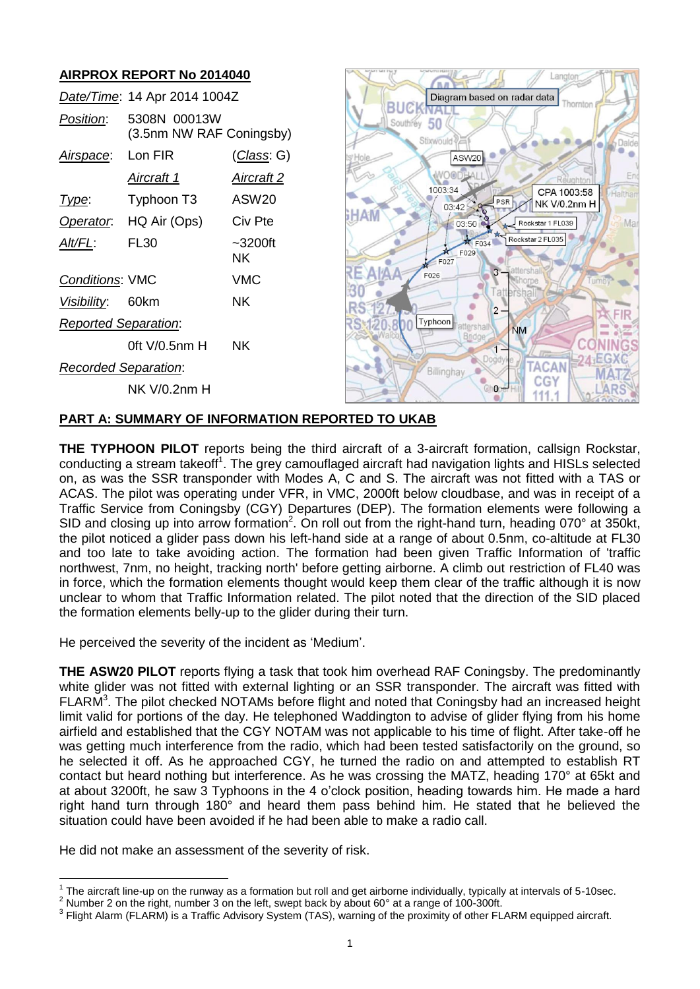# **AIRPROX REPORT No 2014040**

|                             | Date/Time: 14 Apr 2014 1004Z             |                   |  |  |  |
|-----------------------------|------------------------------------------|-------------------|--|--|--|
| Position:                   | 5308N 00013W<br>(3.5nm NW RAF Coningsby) |                   |  |  |  |
| Airspace:                   | Lon FIR                                  | (Class: G)        |  |  |  |
|                             | <u>Aircraft 1</u>                        | Aircraft 2        |  |  |  |
| l ype:                      | Typhoon T3                               | ASW <sub>20</sub> |  |  |  |
| Operator.                   | HQ Air (Ops)                             | Civ Pte           |  |  |  |
| AIt/FL:                     | FL30                                     | $-3200$ ft<br>ΝK  |  |  |  |
| <b>Conditions: VMC</b>      |                                          | VMC               |  |  |  |
| Visibility: 60km            |                                          | ΝK                |  |  |  |
| <b>Reported Separation:</b> |                                          |                   |  |  |  |
|                             | 0ft V/0.5nm H                            | ΝK                |  |  |  |
| Recorded Separation:        |                                          |                   |  |  |  |
|                             | NK V/0.2nm H                             |                   |  |  |  |



# **PART A: SUMMARY OF INFORMATION REPORTED TO UKAB**

**THE TYPHOON PILOT** reports being the third aircraft of a 3-aircraft formation, callsign Rockstar, conducting a stream takeoff<sup>1</sup>. The grey camouflaged aircraft had navigation lights and HISLs selected on, as was the SSR transponder with Modes A, C and S. The aircraft was not fitted with a TAS or ACAS. The pilot was operating under VFR, in VMC, 2000ft below cloudbase, and was in receipt of a Traffic Service from Coningsby (CGY) Departures (DEP). The formation elements were following a SID and closing up into arrow formation<sup>2</sup>. On roll out from the right-hand turn, heading 070° at 350kt, the pilot noticed a glider pass down his left-hand side at a range of about 0.5nm, co-altitude at FL30 and too late to take avoiding action. The formation had been given Traffic Information of 'traffic northwest, 7nm, no height, tracking north' before getting airborne. A climb out restriction of FL40 was in force, which the formation elements thought would keep them clear of the traffic although it is now unclear to whom that Traffic Information related. The pilot noted that the direction of the SID placed the formation elements belly-up to the glider during their turn.

He perceived the severity of the incident as 'Medium'.

**THE ASW20 PILOT** reports flying a task that took him overhead RAF Coningsby. The predominantly white glider was not fitted with external lighting or an SSR transponder. The aircraft was fitted with FLARM<sup>3</sup>. The pilot checked NOTAMs before flight and noted that Coningsby had an increased height limit valid for portions of the day. He telephoned Waddington to advise of glider flying from his home airfield and established that the CGY NOTAM was not applicable to his time of flight. After take-off he was getting much interference from the radio, which had been tested satisfactorily on the ground, so he selected it off. As he approached CGY, he turned the radio on and attempted to establish RT contact but heard nothing but interference. As he was crossing the MATZ, heading 170° at 65kt and at about 3200ft, he saw 3 Typhoons in the 4 o'clock position, heading towards him. He made a hard right hand turn through 180° and heard them pass behind him. He stated that he believed the situation could have been avoided if he had been able to make a radio call.

He did not make an assessment of the severity of risk.

 $\overline{a}$ 1 The aircraft line-up on the runway as a formation but roll and get airborne individually, typically at intervals of 5-10sec.

<sup>2</sup> Number 2 on the right, number 3 on the left, swept back by about 60° at a range of 100-300ft.

 $^3$  Flight Alarm (FLARM) is a Traffic Advisory System (TAS), warning of the proximity of other FLARM equipped aircraft.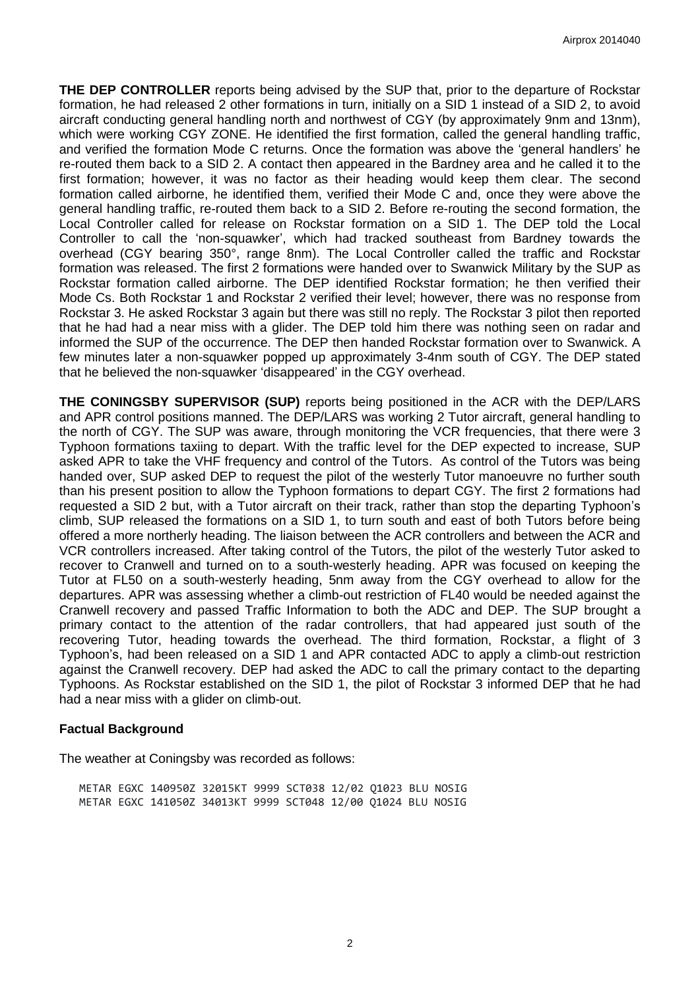**THE DEP CONTROLLER** reports being advised by the SUP that, prior to the departure of Rockstar formation, he had released 2 other formations in turn, initially on a SID 1 instead of a SID 2, to avoid aircraft conducting general handling north and northwest of CGY (by approximately 9nm and 13nm), which were working CGY ZONE. He identified the first formation, called the general handling traffic, and verified the formation Mode C returns. Once the formation was above the 'general handlers' he re-routed them back to a SID 2. A contact then appeared in the Bardney area and he called it to the first formation; however, it was no factor as their heading would keep them clear. The second formation called airborne, he identified them, verified their Mode C and, once they were above the general handling traffic, re-routed them back to a SID 2. Before re-routing the second formation, the Local Controller called for release on Rockstar formation on a SID 1. The DEP told the Local Controller to call the 'non-squawker', which had tracked southeast from Bardney towards the overhead (CGY bearing 350°, range 8nm). The Local Controller called the traffic and Rockstar formation was released. The first 2 formations were handed over to Swanwick Military by the SUP as Rockstar formation called airborne. The DEP identified Rockstar formation; he then verified their Mode Cs. Both Rockstar 1 and Rockstar 2 verified their level; however, there was no response from Rockstar 3. He asked Rockstar 3 again but there was still no reply. The Rockstar 3 pilot then reported that he had had a near miss with a glider. The DEP told him there was nothing seen on radar and informed the SUP of the occurrence. The DEP then handed Rockstar formation over to Swanwick. A few minutes later a non-squawker popped up approximately 3-4nm south of CGY. The DEP stated that he believed the non-squawker 'disappeared' in the CGY overhead.

**THE CONINGSBY SUPERVISOR (SUP)** reports being positioned in the ACR with the DEP/LARS and APR control positions manned. The DEP/LARS was working 2 Tutor aircraft, general handling to the north of CGY. The SUP was aware, through monitoring the VCR frequencies, that there were 3 Typhoon formations taxiing to depart. With the traffic level for the DEP expected to increase, SUP asked APR to take the VHF frequency and control of the Tutors. As control of the Tutors was being handed over, SUP asked DEP to request the pilot of the westerly Tutor manoeuvre no further south than his present position to allow the Typhoon formations to depart CGY. The first 2 formations had requested a SID 2 but, with a Tutor aircraft on their track, rather than stop the departing Typhoon's climb, SUP released the formations on a SID 1, to turn south and east of both Tutors before being offered a more northerly heading. The liaison between the ACR controllers and between the ACR and VCR controllers increased. After taking control of the Tutors, the pilot of the westerly Tutor asked to recover to Cranwell and turned on to a south-westerly heading. APR was focused on keeping the Tutor at FL50 on a south-westerly heading, 5nm away from the CGY overhead to allow for the departures. APR was assessing whether a climb-out restriction of FL40 would be needed against the Cranwell recovery and passed Traffic Information to both the ADC and DEP. The SUP brought a primary contact to the attention of the radar controllers, that had appeared just south of the recovering Tutor, heading towards the overhead. The third formation, Rockstar, a flight of 3 Typhoon's, had been released on a SID 1 and APR contacted ADC to apply a climb-out restriction against the Cranwell recovery. DEP had asked the ADC to call the primary contact to the departing Typhoons. As Rockstar established on the SID 1, the pilot of Rockstar 3 informed DEP that he had had a near miss with a glider on climb-out.

## **Factual Background**

The weather at Coningsby was recorded as follows:

METAR EGXC 140950Z 32015KT 9999 SCT038 12/02 Q1023 BLU NOSIG METAR EGXC 141050Z 34013KT 9999 SCT048 12/00 Q1024 BLU NOSIG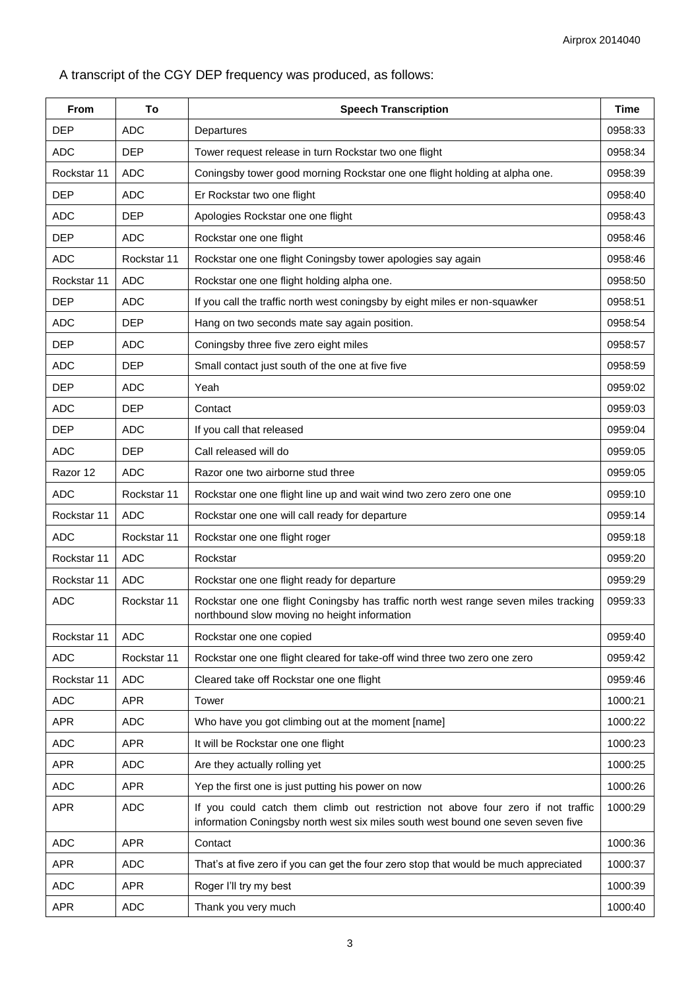A transcript of the CGY DEP frequency was produced, as follows:

| From        | To          | <b>Speech Transcription</b>                                                                                                                                          | Time    |
|-------------|-------------|----------------------------------------------------------------------------------------------------------------------------------------------------------------------|---------|
| <b>DEP</b>  | <b>ADC</b>  | Departures                                                                                                                                                           | 0958:33 |
| <b>ADC</b>  | <b>DEP</b>  | Tower request release in turn Rockstar two one flight                                                                                                                | 0958:34 |
| Rockstar 11 | <b>ADC</b>  | Coningsby tower good morning Rockstar one one flight holding at alpha one.                                                                                           | 0958:39 |
| <b>DEP</b>  | <b>ADC</b>  | Er Rockstar two one flight                                                                                                                                           | 0958:40 |
| <b>ADC</b>  | <b>DEP</b>  | Apologies Rockstar one one flight                                                                                                                                    | 0958:43 |
| <b>DEP</b>  | <b>ADC</b>  | Rockstar one one flight                                                                                                                                              | 0958:46 |
| <b>ADC</b>  | Rockstar 11 | Rockstar one one flight Coningsby tower apologies say again                                                                                                          | 0958:46 |
| Rockstar 11 | <b>ADC</b>  | Rockstar one one flight holding alpha one.                                                                                                                           | 0958:50 |
| <b>DEP</b>  | <b>ADC</b>  | If you call the traffic north west coningsby by eight miles er non-squawker                                                                                          | 0958:51 |
| <b>ADC</b>  | <b>DEP</b>  | Hang on two seconds mate say again position.                                                                                                                         | 0958:54 |
| <b>DEP</b>  | <b>ADC</b>  | Coningsby three five zero eight miles                                                                                                                                | 0958:57 |
| <b>ADC</b>  | <b>DEP</b>  | Small contact just south of the one at five five                                                                                                                     | 0958:59 |
| <b>DEP</b>  | <b>ADC</b>  | Yeah                                                                                                                                                                 | 0959:02 |
| <b>ADC</b>  | <b>DEP</b>  | Contact                                                                                                                                                              | 0959:03 |
| <b>DEP</b>  | <b>ADC</b>  | If you call that released                                                                                                                                            | 0959:04 |
| <b>ADC</b>  | <b>DEP</b>  | Call released will do                                                                                                                                                | 0959:05 |
| Razor 12    | <b>ADC</b>  | Razor one two airborne stud three                                                                                                                                    | 0959:05 |
| <b>ADC</b>  | Rockstar 11 | Rockstar one one flight line up and wait wind two zero zero one one                                                                                                  | 0959:10 |
| Rockstar 11 | <b>ADC</b>  | Rockstar one one will call ready for departure                                                                                                                       | 0959:14 |
| <b>ADC</b>  | Rockstar 11 | Rockstar one one flight roger                                                                                                                                        | 0959:18 |
| Rockstar 11 | <b>ADC</b>  | Rockstar                                                                                                                                                             | 0959:20 |
| Rockstar 11 | <b>ADC</b>  | Rockstar one one flight ready for departure                                                                                                                          | 0959:29 |
| <b>ADC</b>  | Rockstar 11 | Rockstar one one flight Coningsby has traffic north west range seven miles tracking<br>northbound slow moving no height information                                  | 0959:33 |
| Rockstar 11 | <b>ADC</b>  | Rockstar one one copied                                                                                                                                              | 0959:40 |
| <b>ADC</b>  | Rockstar 11 | Rockstar one one flight cleared for take-off wind three two zero one zero                                                                                            | 0959:42 |
| Rockstar 11 | <b>ADC</b>  | Cleared take off Rockstar one one flight                                                                                                                             | 0959:46 |
| <b>ADC</b>  | <b>APR</b>  | Tower                                                                                                                                                                | 1000:21 |
| <b>APR</b>  | <b>ADC</b>  | Who have you got climbing out at the moment [name]                                                                                                                   | 1000:22 |
| <b>ADC</b>  | <b>APR</b>  | It will be Rockstar one one flight                                                                                                                                   | 1000:23 |
| <b>APR</b>  | <b>ADC</b>  | Are they actually rolling yet                                                                                                                                        | 1000:25 |
| <b>ADC</b>  | <b>APR</b>  | Yep the first one is just putting his power on now                                                                                                                   | 1000:26 |
| <b>APR</b>  | <b>ADC</b>  | If you could catch them climb out restriction not above four zero if not traffic<br>information Coningsby north west six miles south west bound one seven seven five | 1000:29 |
| <b>ADC</b>  | <b>APR</b>  | Contact                                                                                                                                                              | 1000:36 |
| <b>APR</b>  | <b>ADC</b>  | That's at five zero if you can get the four zero stop that would be much appreciated                                                                                 | 1000:37 |
| <b>ADC</b>  | <b>APR</b>  | Roger I'll try my best                                                                                                                                               | 1000:39 |
| <b>APR</b>  | <b>ADC</b>  | Thank you very much                                                                                                                                                  | 1000:40 |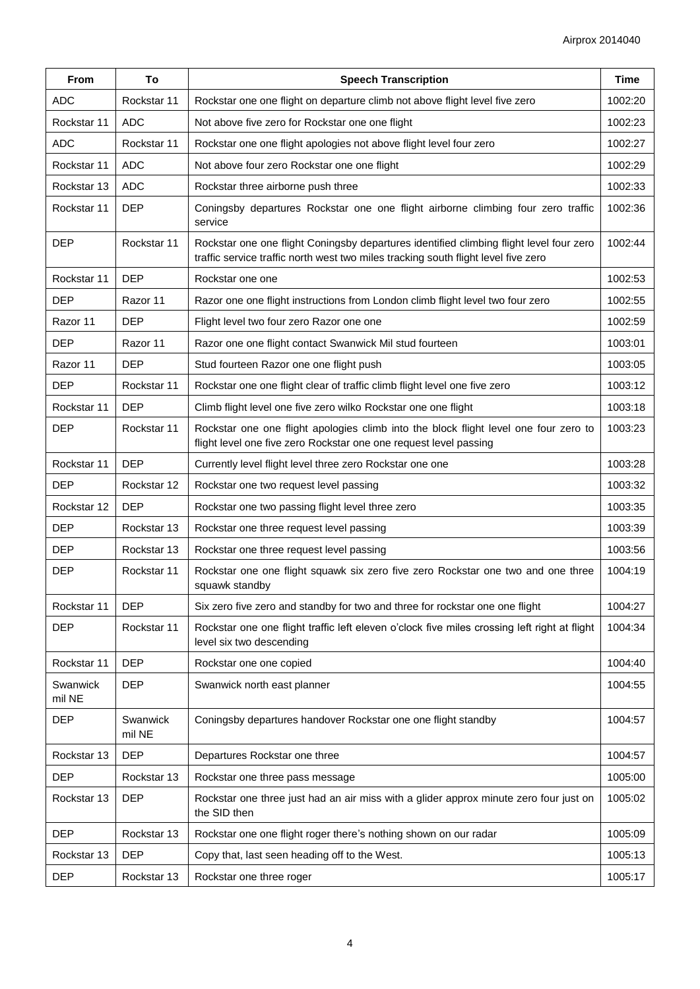| <b>From</b>        | To                 | <b>Speech Transcription</b>                                                                                                                                                   | <b>Time</b> |
|--------------------|--------------------|-------------------------------------------------------------------------------------------------------------------------------------------------------------------------------|-------------|
| <b>ADC</b>         | Rockstar 11        | Rockstar one one flight on departure climb not above flight level five zero                                                                                                   | 1002:20     |
| Rockstar 11        | <b>ADC</b>         | Not above five zero for Rockstar one one flight                                                                                                                               | 1002:23     |
| <b>ADC</b>         | Rockstar 11        | Rockstar one one flight apologies not above flight level four zero                                                                                                            | 1002:27     |
| Rockstar 11        | <b>ADC</b>         | Not above four zero Rockstar one one flight                                                                                                                                   | 1002:29     |
| Rockstar 13        | <b>ADC</b>         | Rockstar three airborne push three                                                                                                                                            | 1002:33     |
| Rockstar 11        | <b>DEP</b>         | Coningsby departures Rockstar one one flight airborne climbing four zero traffic<br>service                                                                                   | 1002:36     |
| <b>DEP</b>         | Rockstar 11        | Rockstar one one flight Coningsby departures identified climbing flight level four zero<br>traffic service traffic north west two miles tracking south flight level five zero | 1002:44     |
| Rockstar 11        | <b>DEP</b>         | Rockstar one one                                                                                                                                                              | 1002:53     |
| <b>DEP</b>         | Razor 11           | Razor one one flight instructions from London climb flight level two four zero                                                                                                | 1002:55     |
| Razor 11           | <b>DEP</b>         | Flight level two four zero Razor one one                                                                                                                                      | 1002:59     |
| <b>DEP</b>         | Razor 11           | Razor one one flight contact Swanwick Mil stud fourteen                                                                                                                       | 1003:01     |
| Razor 11           | <b>DEP</b>         | Stud fourteen Razor one one flight push                                                                                                                                       | 1003:05     |
| <b>DEP</b>         | Rockstar 11        | Rockstar one one flight clear of traffic climb flight level one five zero                                                                                                     | 1003:12     |
| Rockstar 11        | <b>DEP</b>         | Climb flight level one five zero wilko Rockstar one one flight                                                                                                                | 1003:18     |
| <b>DEP</b>         | Rockstar 11        | Rockstar one one flight apologies climb into the block flight level one four zero to<br>flight level one five zero Rockstar one one request level passing                     | 1003:23     |
| Rockstar 11        | <b>DEP</b>         | Currently level flight level three zero Rockstar one one                                                                                                                      | 1003:28     |
| <b>DEP</b>         | Rockstar 12        | Rockstar one two request level passing                                                                                                                                        | 1003:32     |
| Rockstar 12        | <b>DEP</b>         | Rockstar one two passing flight level three zero                                                                                                                              | 1003:35     |
| <b>DEP</b>         | Rockstar 13        | Rockstar one three request level passing                                                                                                                                      | 1003:39     |
| <b>DEP</b>         | Rockstar 13        | Rockstar one three request level passing                                                                                                                                      | 1003:56     |
| <b>DEP</b>         | Rockstar 11        | Rockstar one one flight squawk six zero five zero Rockstar one two and one three<br>squawk standby                                                                            | 1004:19     |
| Rockstar 11        | <b>DEP</b>         | Six zero five zero and standby for two and three for rockstar one one flight                                                                                                  | 1004:27     |
| <b>DEP</b>         | Rockstar 11        | Rockstar one one flight traffic left eleven o'clock five miles crossing left right at flight<br>level six two descending                                                      | 1004:34     |
| Rockstar 11        | <b>DEP</b>         | Rockstar one one copied                                                                                                                                                       | 1004:40     |
| Swanwick<br>mil NE | <b>DEP</b>         | Swanwick north east planner                                                                                                                                                   | 1004:55     |
| <b>DEP</b>         | Swanwick<br>mil NE | Coningsby departures handover Rockstar one one flight standby                                                                                                                 | 1004:57     |
| Rockstar 13        | <b>DEP</b>         | Departures Rockstar one three                                                                                                                                                 | 1004:57     |
| <b>DEP</b>         | Rockstar 13        | Rockstar one three pass message                                                                                                                                               | 1005:00     |
| Rockstar 13        | <b>DEP</b>         | Rockstar one three just had an air miss with a glider approx minute zero four just on<br>the SID then                                                                         | 1005:02     |
| <b>DEP</b>         | Rockstar 13        | Rockstar one one flight roger there's nothing shown on our radar                                                                                                              | 1005:09     |
| Rockstar 13        | <b>DEP</b>         | Copy that, last seen heading off to the West.                                                                                                                                 | 1005:13     |
| <b>DEP</b>         | Rockstar 13        | Rockstar one three roger                                                                                                                                                      | 1005:17     |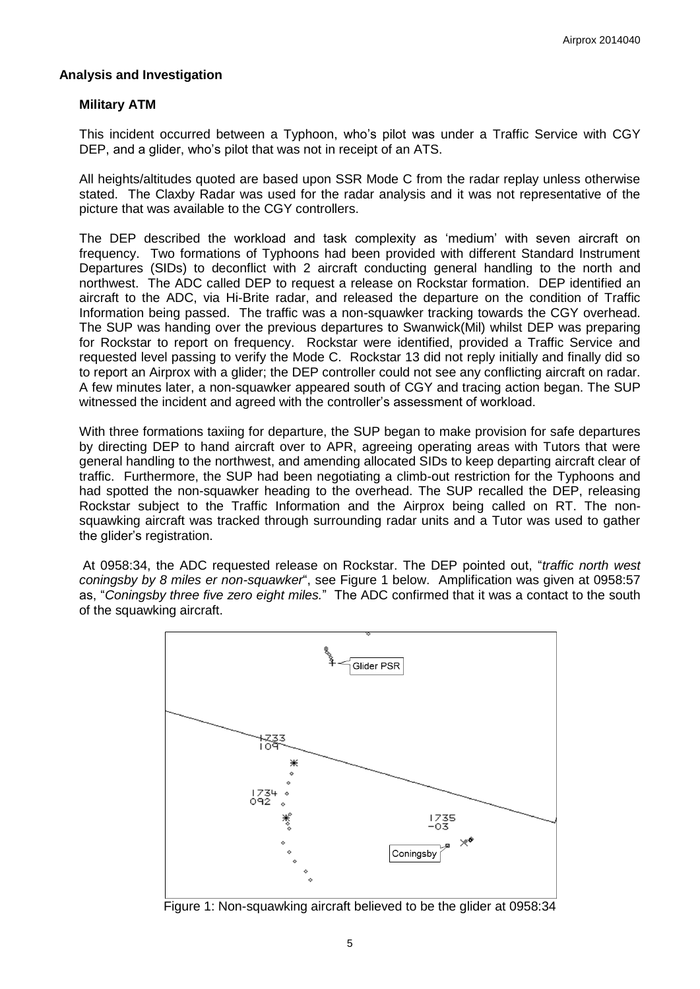#### **Analysis and Investigation**

#### **Military ATM**

This incident occurred between a Typhoon, who's pilot was under a Traffic Service with CGY DEP, and a glider, who's pilot that was not in receipt of an ATS.

All heights/altitudes quoted are based upon SSR Mode C from the radar replay unless otherwise stated. The Claxby Radar was used for the radar analysis and it was not representative of the picture that was available to the CGY controllers.

The DEP described the workload and task complexity as 'medium' with seven aircraft on frequency. Two formations of Typhoons had been provided with different Standard Instrument Departures (SIDs) to deconflict with 2 aircraft conducting general handling to the north and northwest. The ADC called DEP to request a release on Rockstar formation. DEP identified an aircraft to the ADC, via Hi-Brite radar, and released the departure on the condition of Traffic Information being passed. The traffic was a non-squawker tracking towards the CGY overhead. The SUP was handing over the previous departures to Swanwick(Mil) whilst DEP was preparing for Rockstar to report on frequency. Rockstar were identified, provided a Traffic Service and requested level passing to verify the Mode C. Rockstar 13 did not reply initially and finally did so to report an Airprox with a glider; the DEP controller could not see any conflicting aircraft on radar. A few minutes later, a non-squawker appeared south of CGY and tracing action began. The SUP witnessed the incident and agreed with the controller's assessment of workload.

With three formations taxiing for departure, the SUP began to make provision for safe departures by directing DEP to hand aircraft over to APR, agreeing operating areas with Tutors that were general handling to the northwest, and amending allocated SIDs to keep departing aircraft clear of traffic. Furthermore, the SUP had been negotiating a climb-out restriction for the Typhoons and had spotted the non-squawker heading to the overhead. The SUP recalled the DEP, releasing Rockstar subject to the Traffic Information and the Airprox being called on RT. The nonsquawking aircraft was tracked through surrounding radar units and a Tutor was used to gather the glider's registration.

At 0958:34, the ADC requested release on Rockstar. The DEP pointed out, "*traffic north west coningsby by 8 miles er non-squawker*", see Figure 1 below. Amplification was given at 0958:57 as, "*Coningsby three five zero eight miles.*" The ADC confirmed that it was a contact to the south of the squawking aircraft.



Figure 1: Non-squawking aircraft believed to be the glider at 0958:34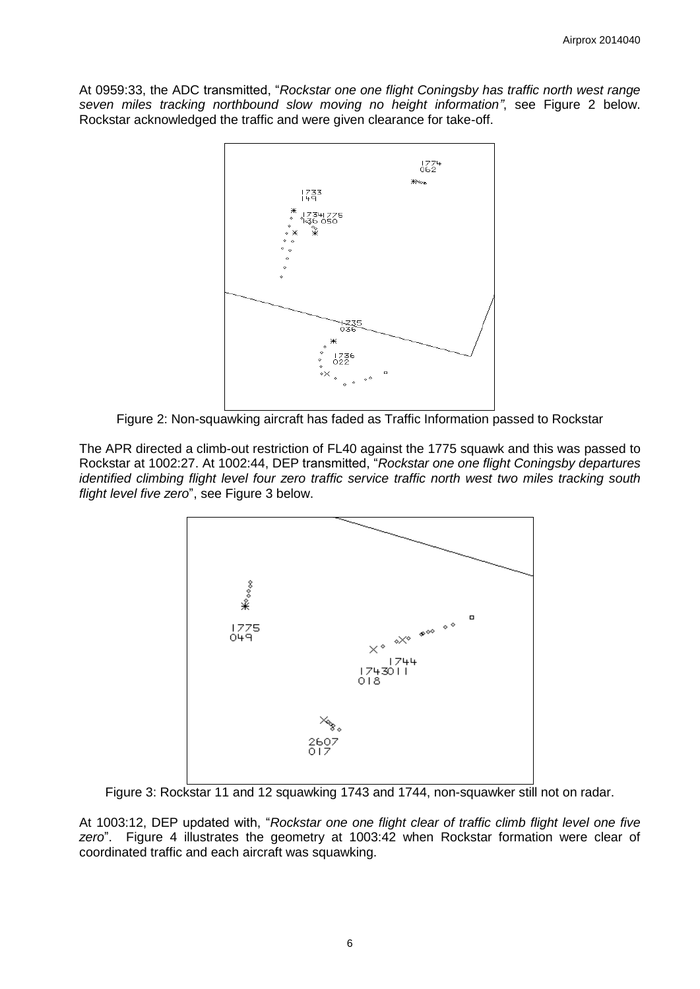At 0959:33, the ADC transmitted, "*Rockstar one one flight Coningsby has traffic north west range seven miles tracking northbound slow moving no height information"*, see Figure 2 below. Rockstar acknowledged the traffic and were given clearance for take-off.



Figure 2: Non-squawking aircraft has faded as Traffic Information passed to Rockstar

The APR directed a climb-out restriction of FL40 against the 1775 squawk and this was passed to Rockstar at 1002:27. At 1002:44, DEP transmitted, "*Rockstar one one flight Coningsby departures identified climbing flight level four zero traffic service traffic north west two miles tracking south flight level five zero*", see Figure 3 below.



Figure 3: Rockstar 11 and 12 squawking 1743 and 1744, non-squawker still not on radar.

At 1003:12, DEP updated with, "*Rockstar one one flight clear of traffic climb flight level one five zero*". Figure 4 illustrates the geometry at 1003:42 when Rockstar formation were clear of coordinated traffic and each aircraft was squawking.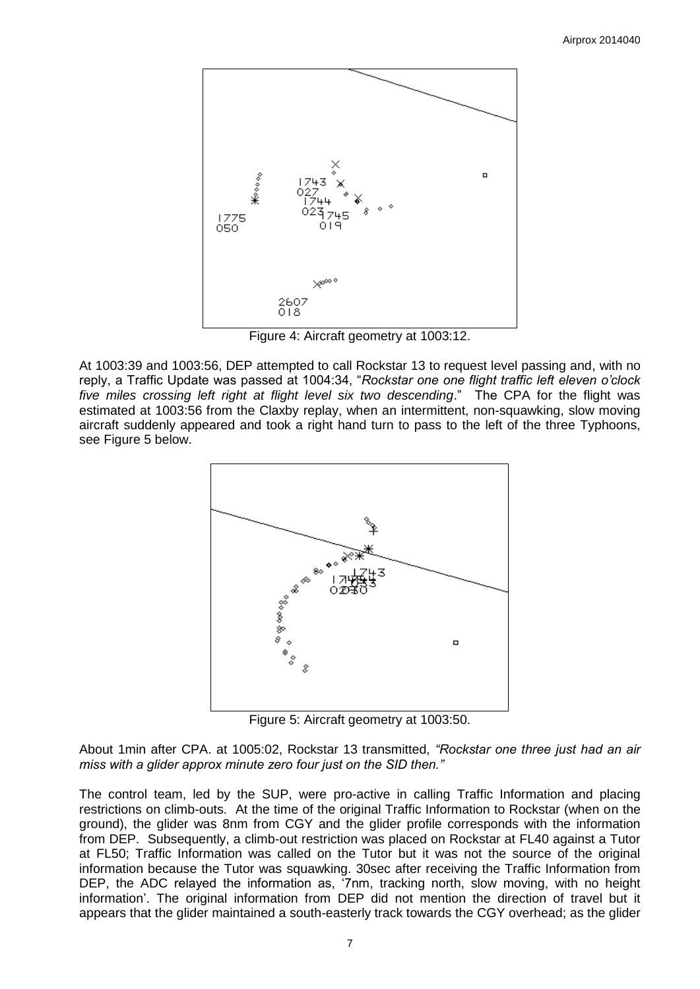

Figure 4: Aircraft geometry at 1003:12.

At 1003:39 and 1003:56, DEP attempted to call Rockstar 13 to request level passing and, with no reply, a Traffic Update was passed at 1004:34, "*Rockstar one one flight traffic left eleven o'clock five miles crossing left right at flight level six two descending*." The CPA for the flight was estimated at 1003:56 from the Claxby replay, when an intermittent, non-squawking, slow moving aircraft suddenly appeared and took a right hand turn to pass to the left of the three Typhoons, see Figure 5 below.



Figure 5: Aircraft geometry at 1003:50.

About 1min after CPA. at 1005:02, Rockstar 13 transmitted, *"Rockstar one three just had an air miss with a glider approx minute zero four just on the SID then."*

The control team, led by the SUP, were pro-active in calling Traffic Information and placing restrictions on climb-outs. At the time of the original Traffic Information to Rockstar (when on the ground), the glider was 8nm from CGY and the glider profile corresponds with the information from DEP. Subsequently, a climb-out restriction was placed on Rockstar at FL40 against a Tutor at FL50; Traffic Information was called on the Tutor but it was not the source of the original information because the Tutor was squawking. 30sec after receiving the Traffic Information from DEP, the ADC relayed the information as, '7nm, tracking north, slow moving, with no height information'. The original information from DEP did not mention the direction of travel but it appears that the glider maintained a south-easterly track towards the CGY overhead; as the glider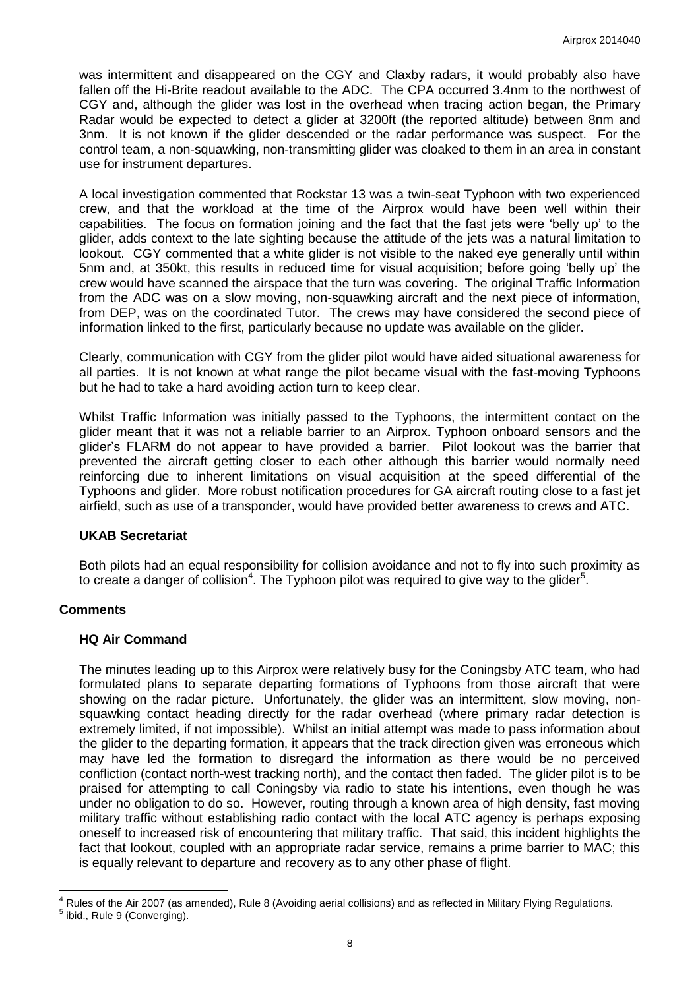was intermittent and disappeared on the CGY and Claxby radars, it would probably also have fallen off the Hi-Brite readout available to the ADC. The CPA occurred 3.4nm to the northwest of CGY and, although the glider was lost in the overhead when tracing action began, the Primary Radar would be expected to detect a glider at 3200ft (the reported altitude) between 8nm and 3nm. It is not known if the glider descended or the radar performance was suspect. For the control team, a non-squawking, non-transmitting glider was cloaked to them in an area in constant use for instrument departures.

A local investigation commented that Rockstar 13 was a twin-seat Typhoon with two experienced crew, and that the workload at the time of the Airprox would have been well within their capabilities. The focus on formation joining and the fact that the fast jets were 'belly up' to the glider, adds context to the late sighting because the attitude of the jets was a natural limitation to lookout. CGY commented that a white glider is not visible to the naked eye generally until within 5nm and, at 350kt, this results in reduced time for visual acquisition; before going 'belly up' the crew would have scanned the airspace that the turn was covering. The original Traffic Information from the ADC was on a slow moving, non-squawking aircraft and the next piece of information, from DEP, was on the coordinated Tutor. The crews may have considered the second piece of information linked to the first, particularly because no update was available on the glider.

Clearly, communication with CGY from the glider pilot would have aided situational awareness for all parties. It is not known at what range the pilot became visual with the fast-moving Typhoons but he had to take a hard avoiding action turn to keep clear.

Whilst Traffic Information was initially passed to the Typhoons, the intermittent contact on the glider meant that it was not a reliable barrier to an Airprox. Typhoon onboard sensors and the glider's FLARM do not appear to have provided a barrier. Pilot lookout was the barrier that prevented the aircraft getting closer to each other although this barrier would normally need reinforcing due to inherent limitations on visual acquisition at the speed differential of the Typhoons and glider. More robust notification procedures for GA aircraft routing close to a fast jet airfield, such as use of a transponder, would have provided better awareness to crews and ATC.

## **UKAB Secretariat**

Both pilots had an equal responsibility for collision avoidance and not to fly into such proximity as to create a danger of collision<sup>4</sup>. The Typhoon pilot was required to give way to the glider<sup>5</sup>.

## **Comments**

#### **HQ Air Command**

The minutes leading up to this Airprox were relatively busy for the Coningsby ATC team, who had formulated plans to separate departing formations of Typhoons from those aircraft that were showing on the radar picture. Unfortunately, the glider was an intermittent, slow moving, nonsquawking contact heading directly for the radar overhead (where primary radar detection is extremely limited, if not impossible). Whilst an initial attempt was made to pass information about the glider to the departing formation, it appears that the track direction given was erroneous which may have led the formation to disregard the information as there would be no perceived confliction (contact north-west tracking north), and the contact then faded. The glider pilot is to be praised for attempting to call Coningsby via radio to state his intentions, even though he was under no obligation to do so. However, routing through a known area of high density, fast moving military traffic without establishing radio contact with the local ATC agency is perhaps exposing oneself to increased risk of encountering that military traffic. That said, this incident highlights the fact that lookout, coupled with an appropriate radar service, remains a prime barrier to MAC; this is equally relevant to departure and recovery as to any other phase of flight.

 $\overline{\phantom{a}}$ <sup>4</sup> Rules of the Air 2007 (as amended), Rule 8 (Avoiding aerial collisions) and as reflected in Military Flying Regulations. <sup>5</sup> ibid., Rule 9 (Converging).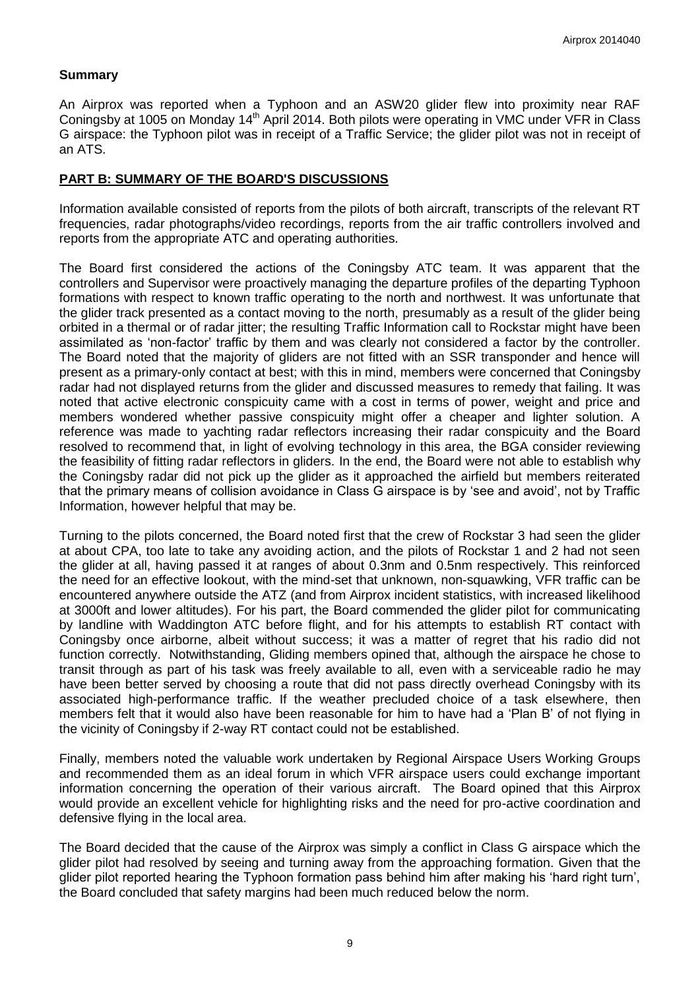### **Summary**

An Airprox was reported when a Typhoon and an ASW20 glider flew into proximity near RAF Coningsby at 1005 on Monday 14<sup>th</sup> April 2014. Both pilots were operating in VMC under VFR in Class G airspace: the Typhoon pilot was in receipt of a Traffic Service; the glider pilot was not in receipt of an ATS.

### **PART B: SUMMARY OF THE BOARD'S DISCUSSIONS**

Information available consisted of reports from the pilots of both aircraft, transcripts of the relevant RT frequencies, radar photographs/video recordings, reports from the air traffic controllers involved and reports from the appropriate ATC and operating authorities.

The Board first considered the actions of the Coningsby ATC team. It was apparent that the controllers and Supervisor were proactively managing the departure profiles of the departing Typhoon formations with respect to known traffic operating to the north and northwest. It was unfortunate that the glider track presented as a contact moving to the north, presumably as a result of the glider being orbited in a thermal or of radar jitter; the resulting Traffic Information call to Rockstar might have been assimilated as 'non-factor' traffic by them and was clearly not considered a factor by the controller. The Board noted that the majority of gliders are not fitted with an SSR transponder and hence will present as a primary-only contact at best; with this in mind, members were concerned that Coningsby radar had not displayed returns from the glider and discussed measures to remedy that failing. It was noted that active electronic conspicuity came with a cost in terms of power, weight and price and members wondered whether passive conspicuity might offer a cheaper and lighter solution. A reference was made to yachting radar reflectors increasing their radar conspicuity and the Board resolved to recommend that, in light of evolving technology in this area, the BGA consider reviewing the feasibility of fitting radar reflectors in gliders. In the end, the Board were not able to establish why the Coningsby radar did not pick up the glider as it approached the airfield but members reiterated that the primary means of collision avoidance in Class G airspace is by 'see and avoid', not by Traffic Information, however helpful that may be.

Turning to the pilots concerned, the Board noted first that the crew of Rockstar 3 had seen the glider at about CPA, too late to take any avoiding action, and the pilots of Rockstar 1 and 2 had not seen the glider at all, having passed it at ranges of about 0.3nm and 0.5nm respectively. This reinforced the need for an effective lookout, with the mind-set that unknown, non-squawking, VFR traffic can be encountered anywhere outside the ATZ (and from Airprox incident statistics, with increased likelihood at 3000ft and lower altitudes). For his part, the Board commended the glider pilot for communicating by landline with Waddington ATC before flight, and for his attempts to establish RT contact with Coningsby once airborne, albeit without success; it was a matter of regret that his radio did not function correctly. Notwithstanding, Gliding members opined that, although the airspace he chose to transit through as part of his task was freely available to all, even with a serviceable radio he may have been better served by choosing a route that did not pass directly overhead Coningsby with its associated high-performance traffic. If the weather precluded choice of a task elsewhere, then members felt that it would also have been reasonable for him to have had a 'Plan B' of not flying in the vicinity of Coningsby if 2-way RT contact could not be established.

Finally, members noted the valuable work undertaken by Regional Airspace Users Working Groups and recommended them as an ideal forum in which VFR airspace users could exchange important information concerning the operation of their various aircraft. The Board opined that this Airprox would provide an excellent vehicle for highlighting risks and the need for pro-active coordination and defensive flying in the local area.

The Board decided that the cause of the Airprox was simply a conflict in Class G airspace which the glider pilot had resolved by seeing and turning away from the approaching formation. Given that the glider pilot reported hearing the Typhoon formation pass behind him after making his 'hard right turn', the Board concluded that safety margins had been much reduced below the norm.